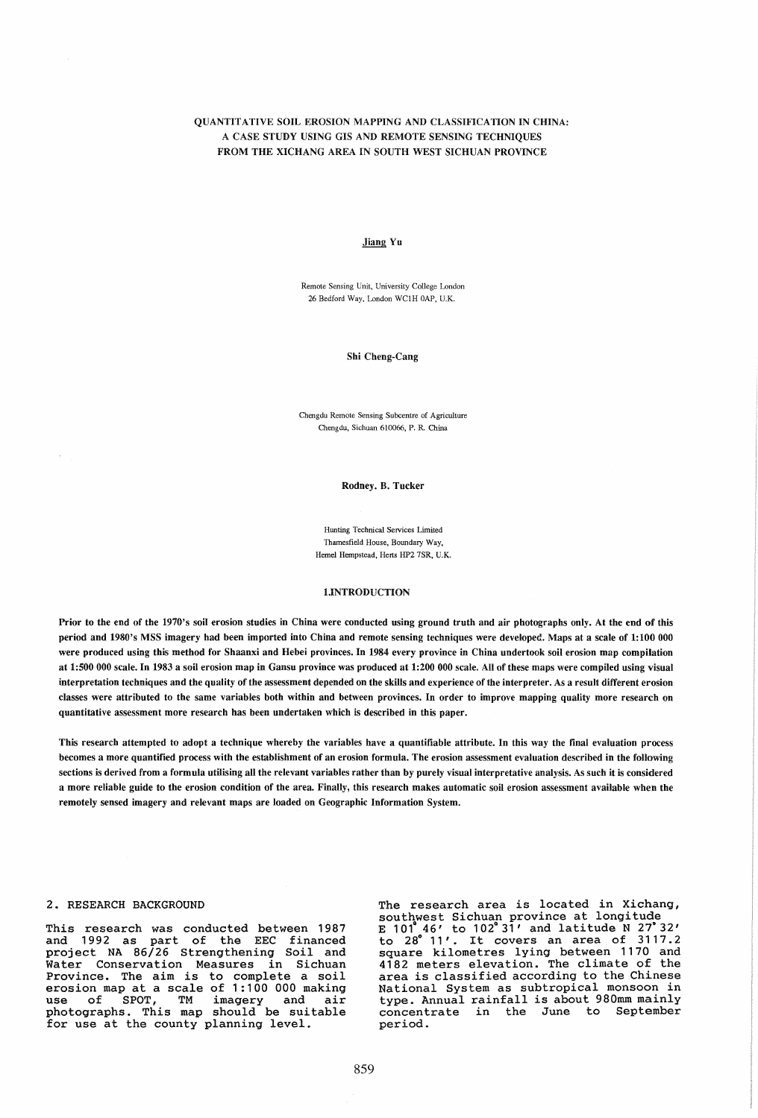# QUANTITATIVE SOIL EROSION MAPPING AND CLASSIFICATION IN CHINA: A CASE STUDY USING GIS AND REMOTE SENSING TECHNIQUES FROM THE XICHANG AREA IN SOUTH WEST SICHUAN PROVINCE

#### Jiang Yu

Remote Sensing Unit, University College London 26 Bedford Way, London WClH OAP, U.K.

#### Shi Cheng-Cang

Chengdu Remote Sensing Subcentre of Agriculture Chengdu, Sichuan 610066, P. R. China

Rodney. B. Tucker

Hunting Technical Services Limited Thamesfield House, Boundary Way, Heme1 Hempstead, Herts HP2 7SR, U.K.

#### 1.INTRODUCTION

Prior to the end of the 1970's soil erosion studies in China were conducted using ground truth and air photographs only. At the end of this period and 1980's MSS imagery had been imported into China and remote sensing techniques were developed. Maps at a scale of 1:100 000 were produced using this method for Shaanxi and Hebei provinces. In 1984 every province in China undertook soil erosion map compilation at 1:500 000 scale. In 1983 a soil erosion map in Gansu province was produced at 1:200 000 scale. All of these maps were compiled using visual interpretation techniques and the quality of the assessment depended on the skills and experience of the interpreter. As a result different erosion classes were attributed to the same variables both within and between provinces. In order to improve mapping quality more research on quantitative assessment more research has been undertaken which is described in this paper.

This research attempted to adopt a technique whereby the variables have a quantifiable attribute. In this way the final evaluation process becomes a more quantified process with the establishment of an erosion formula. The erosion assessment evaluation described in the following sections is derived from a formula utilising all the relevant variables rather than by purely visual interpretative analysis. As such it is considered a more reliable guide to the erosion condition of the area. Finally, this research makes automatic soil erosion assessment available when the remotely sensed imagery and relevant maps are loaded on Geographic Information System.

### 2. RESEARCH BACKGROUND

This research was conducted between 1987 and 1992 as part of the EEC financed project NA 86/26 Strengthening Soil and Water Conservation Measures in Sichuan Province. The aim is to complete a soil erosion map at a scale of 1:100 000 making<br>use of SPOT, TM imagery and air use of SPOT, TM imagery and air<br>photographs. This map should be suitable for use at the county planning level.

The research area is located in Xichang, southwest Sichuan province at longitude E  $101^46'$  to  $102^831'$  and latitude N  $27^832'$  $\frac{1}{10}$  and  $\frac{1}{10}$  and  $\frac{1}{10}$  and  $\frac{1}{10}$  at  $\frac{1}{10}$  and  $\frac{1}{10}$  at  $\frac{1}{10}$   $\frac{1}{10}$   $\frac{1}{10}$   $\frac{1}{10}$   $\frac{1}{10}$   $\frac{1}{10}$   $\frac{1}{10}$   $\frac{1}{10}$   $\frac{1}{10}$   $\frac{1}{10}$   $\frac{1}{10}$   $\frac{1}{10}$  square kilometres lying between 1170 and<br>4182 meters elevation. The climate of the area is classified according to the Chinese National System as subtropical monsoon in type. Annual rainfall is about 980mm mainly concentrate in the June to September concentrate in the<br>period.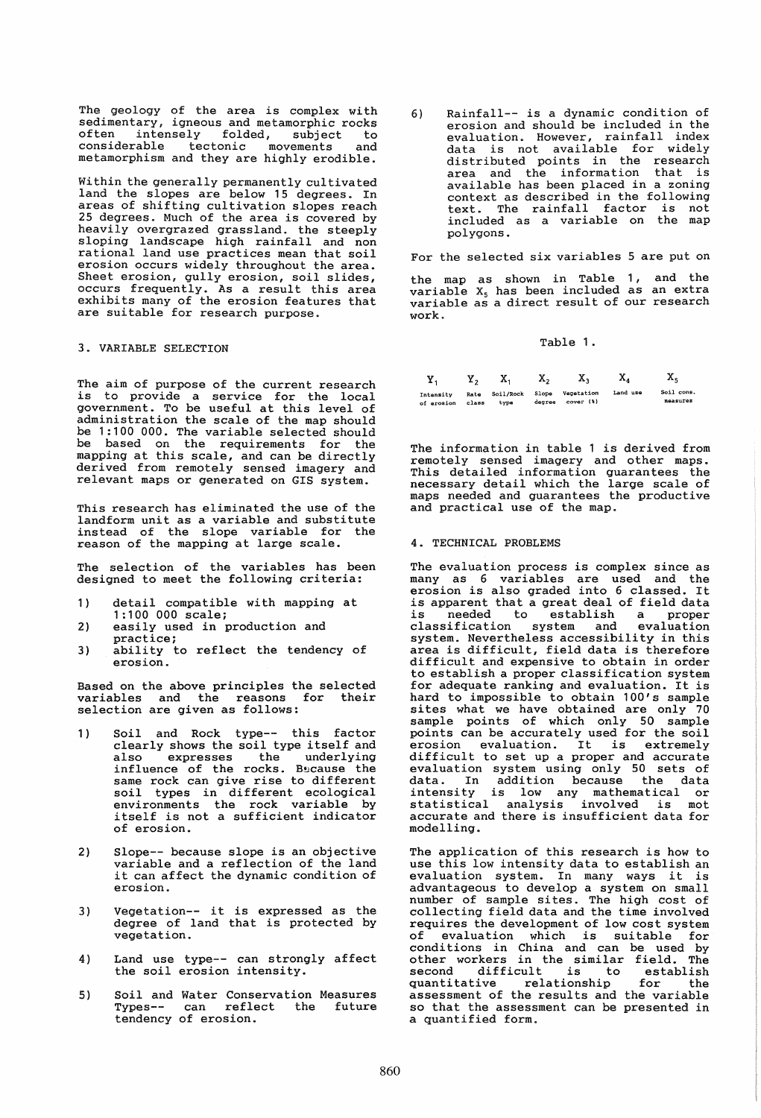The geology of the area is complex with sedimentary, igneous and metamorphic rocks often intensely folded, subject to considerable tectonic movements and metamorphism and they are highly erodible.

Within the generally permanently cultivated land the slopes are below 15 degrees. In areas of shifting cultivation slopes reach 25 degrees. Much of the area is covered by heavily overgrazed grassland. the steeply sloping landscape high rainfall and non rational land use practices mean that soil erosion occurs widely throughout the area. Sheet erosion, gully erosion, soil slides, occurs frequently. As a result this area exhibits many of the erosion features that are suitable for research purpose.

## 3. VARIABLE SELECTION

The aim of purpose of the current research is to provide a service for the local government. To be useful at this level of administration the scale of the map should be 1:100 000. The variable selected should be based on the requirements for the mapping at this scale, and can be directly deri ved from remotely sensed imagery and relevant maps or generated on GIS system.

This research has eliminated the use of the landform unit as a variable and substitute instead of the slope variable for the reason of the mapping at large scale.

The selection of the variables has been designed to meet the following criteria:

- 1) detail compatible with mapping at 1:100 000 scale;
- 2) easily used in production and
- practice; 3) ability to reflect the tendency of erosion.

Based on the above principles the selected variables and the reasons for their selection are given as follows:

- 1) Soil and Rock type-- this factor clearly shows the soil type itself and also expresses the underlying influence of the rocks. Because the<br>same rock can give rise to different soil types in different ecological environments the rock variable by itself is not a sufficient indicator of erosion.
- 2) Slope-- because slope is an objective variable and a reflection of the land it can affect the dynamic condition of erosion.
- 3) Vegetation-- it is expressed as the degree of land that is protected by vegetation.
- 4) Land use type-- can strongly affect the soil erosion intensity.
- 5) Soil and Water Conservation Measures Types-- can reflect the future tendency of erosion.

6) Rainfall-- is a dynamic condition of erosion and should be included in the evaluation. However, rainfall index data is not available for widely distributed points in the research area and the information that is available has been placed in a zoning context as described in the following text. The rainfall factor is not included as a variable on the map polygons.

For the selected six variables 5 are put on

the map as shown in Table 1, and the  $variable$   $X_5$  has been included as an extra variable as a direct result of our research work.

#### Table 1.

| Υ.         |       | х.        | х,     | х.            | x,       | x.         |
|------------|-------|-----------|--------|---------------|----------|------------|
| Intensity  | Rate  | Soil/Rock | Slope  | Vegetation    | Land use | Soil cons. |
| of erosion | class | type      | degree | $cover$ $(*)$ |          | measures   |

The information in table 1 is derived from remotely sensed imagery and other maps. This detailed information guarantees the necessary detail which the large scale of maps needed and guarantees the productive and practical use of the map.

### 4. TECHNICAL PROBLEMS

The evaluation process is complex since as many as 6 variables are used and the erosion is also graded into 6 classed. It is apparent that a great deal of field data is needed to establish a proper classification system and system. Nevertheless accessibility in this area is difficult, field data is therefore difficult and expensive to obtain in order to establish a proper classification system for adequate ranking and evaluation. It is hard to impossible to obtain 100's sample<br>sites what we have obtained are only 70 sample points of which only 50 sample points can be accurately used for the soil points can be accurately used for the soil<br>erosion evaluation. It is extremely difficult to set up a proper and accurate evaluation system using only 50 sets of data. In addition because the data intensity is low any mathematical or Intensity is low any mathematical of<br>statistical analysis involved is mot accurate and there is insufficient data for modelling.

The application of this research is how to use this low intensity data to establish an evaluation system. In many ways it is advantageous to develop a system on small number of sample sites. The high cost of collecting field data and the time involved requires the development of low cost system of evaluation which is suitable for conditions in China and can be used by other workers in the similar field. The second difficult is to establish quantitative relationship for the assessment of the results and the variable so that the assessment can be presented in a quantified form.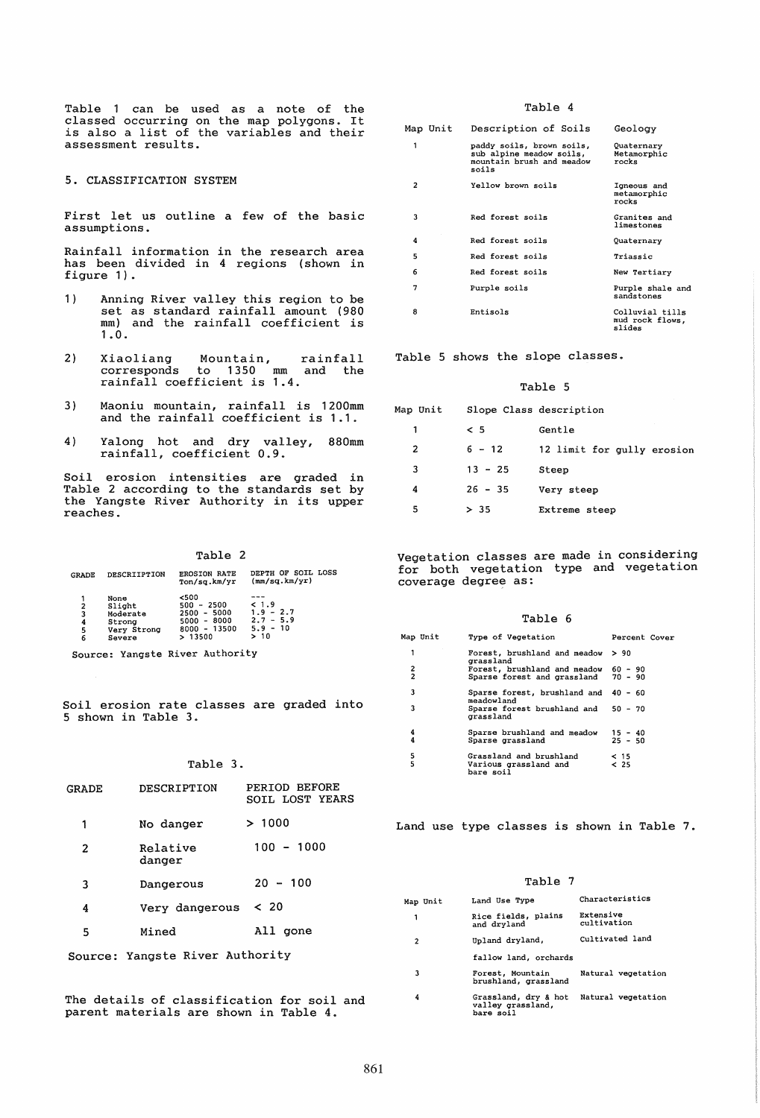Table 1 can be used as a note of the classed occurring on the map polygons. It classed occurring on the map porygons. It<br>is also a list of the variables and their assessment results.

5. CLASSIFICATION SYSTEM

First let us outline a few of the basic assumptions.

Rainfall information in the research area has been divided in 4 regions (shown in figure 1).

- 1) Anning River valley this region to be set as standard rainfall amount (980 mm) and the rainfall coefficient is 1.0.
- 2) Xiaoliang Mountain, corresponds to 1350 mm rainfall coefficient is 1.4. rainfall and the
- 3) Maoniu mountain, rainfall is 1200mm and the rainfall coefficient is 1.1.
- 4) Yalong hot and dry valley, Yalong hot and dry valley, 880mm<br>rainfall, coefficient 0.9.

Soil erosion intensities are graded in Table 2 according to the standards set by the Yangste River Authority in its upper reaches.

Table 2

| <b>GRADE</b>          | <b>DESCRIIPTION</b>                                           | <b>EROSION RATE</b><br>Ton/sq.km/yr                                                   | DEPTH OF SOIL LOSS<br>(mm/sq.km/yr)                      |
|-----------------------|---------------------------------------------------------------|---------------------------------------------------------------------------------------|----------------------------------------------------------|
| 2<br>3<br>4<br>5<br>6 | None<br>Slight<br>Moderate<br>Strong<br>Very Strong<br>Severe | < 500<br>$-2500$<br>500<br>$2500 - 5000$<br>$5000 - 8000$<br>$8000 - 13500$<br>>13500 | < 1.9<br>$1.9 - 2.7$<br>$2.7 - 5.9$<br>$5.9 - 10$<br>>10 |

Source: Yangste River Authority

Soil erosion rate classes are graded into 5 shown in Table 3.

## Table 3.

| GRADE | DESCRIPTION                     | PERIOD BEFORE<br>SOIL LOST YEARS |
|-------|---------------------------------|----------------------------------|
| 1     | No danger                       | >1000                            |
| 2     | Relative<br>danger              | $100 - 1000$                     |
| 3     | Dangerous                       | $20 - 100$                       |
| 4     | Very dangerous                  | < 20                             |
| 5     | Mined                           | All gone                         |
|       | Source: Yangste River Authority |                                  |

The details of classification for soil and parent materials are shown in Table 4.

## Table 4

|   | Map Unit | Description of Soils                                                                        | Geology                                      |
|---|----------|---------------------------------------------------------------------------------------------|----------------------------------------------|
| 1 |          | paddy soils, brown soils,<br>sub alpine meadow soils,<br>mountain brush and meadow<br>soils | Quaternary<br>Metamorphic<br>rocks           |
| 2 |          | Yellow brown soils                                                                          | Igneous and<br>metamorphic<br>rocks          |
| 3 |          | Red forest soils                                                                            | Granites and<br>limestones                   |
| 4 |          | Red forest soils                                                                            | Quaternary                                   |
| 5 |          | Red forest soils                                                                            | Triassic                                     |
| 6 |          | Red forest soils                                                                            | New Tertiary                                 |
| 7 |          | Purple soils                                                                                | Purple shale and<br>sandstones               |
| 8 |          | Entisols                                                                                    | Colluvial tills<br>mud rock flows.<br>slides |

Table 5 shows the slope classes.

### Table 5

| Map Unit | Slope Class description |                            |
|----------|-------------------------|----------------------------|
| 1        | $\leq$ 5                | Gentle                     |
| 2        | $6 - 12$                | 12 limit for gully erosion |
| 3        | $13 - 25$               | Steep                      |
| 4        | $26 - 35$               | Very steep                 |
| 5        | > 35                    | Extreme steep              |

Vegetation classes are made in considering for both vegetation type and vegetation coverage degree as:

| abl |  |
|-----|--|
|-----|--|

|                     | Map Unit | Type of Vegetation                                                          | Percent Cover          |  |
|---------------------|----------|-----------------------------------------------------------------------------|------------------------|--|
| 1                   |          | Forest, brushland and meadow<br>grassland                                   | > 90                   |  |
| 2<br>$\overline{c}$ |          | Forest, brushland and meadow 60 - 90<br>Sparse forest and grassland 70 - 90 |                        |  |
| 3                   |          | Sparse forest, brushland and 40 - 60<br>meadowland                          |                        |  |
| 3                   |          | Sparse forest brushland and 50 - 70<br>grassland                            |                        |  |
| 4<br>4              |          | Sparse brushland and meadow<br>Sparse grassland                             | $15 - 40$<br>$25 - 50$ |  |
| 5<br>5              |          | Grassland and brushland<br>Various grassland and<br>bare soil               | < 15<br>$&$ 25         |  |

Land use type classes is shown in Table 7.

|                |          | Table 7                                                |                          |
|----------------|----------|--------------------------------------------------------|--------------------------|
|                | Map Unit | Land Use Type                                          | Characteristics          |
| 1              |          | Rice fields, plains<br>and dryland                     | Extensive<br>cultivation |
| $\overline{c}$ |          | Upland dryland,                                        | Cultivated land          |
|                |          | fallow land, orchards                                  |                          |
| 3              |          | Forest, Mountain<br>brushland, grassland               | Natural vegetation       |
| 4              |          | Grassland, dry & hot<br>valley grassland.<br>bare soil | Natural vegetation       |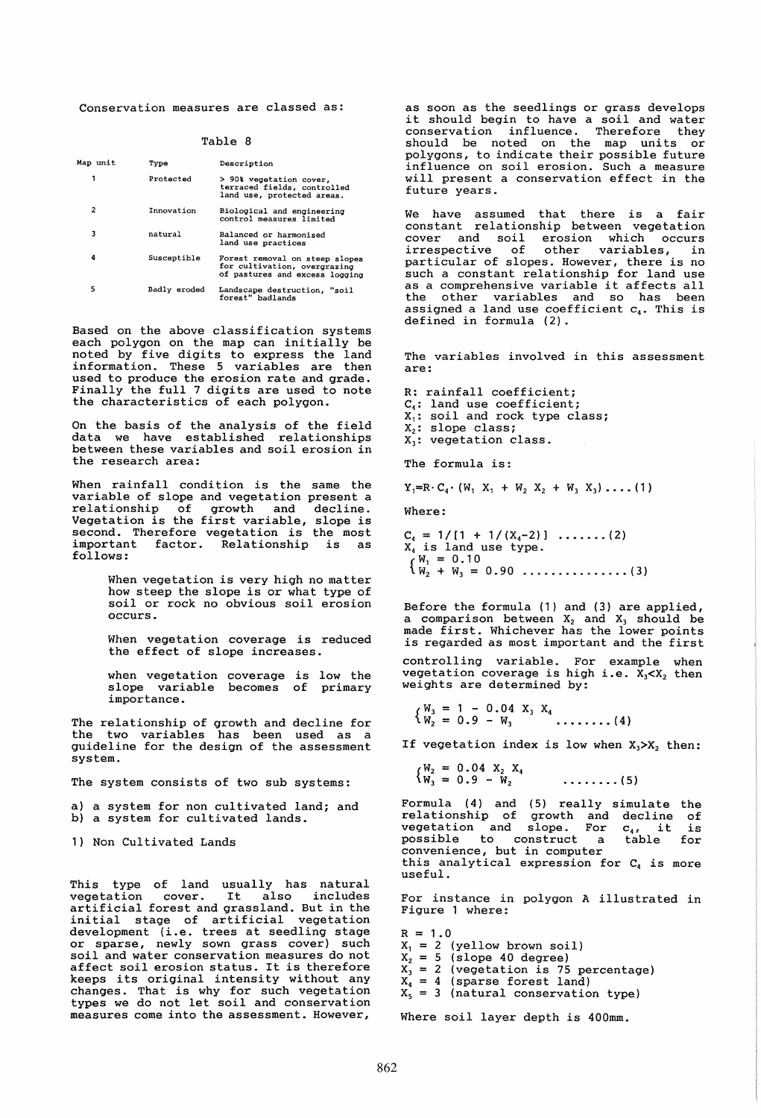Conservation measures are classed as:

| Map unit | Type         | Description                                                                                      |
|----------|--------------|--------------------------------------------------------------------------------------------------|
| 1        | Protected    | > 90% vegetation cover.<br>terraced fields, controlled<br>land use, protected areas.             |
| 2        | Innovation   | Biological and engineering<br>control measures limited                                           |
| 3        | natural      | Balanced or harmonised<br>land use practices                                                     |
| 4        | Susceptible  | Forest removal on steep slopes<br>for cultivation, overgrazing<br>of pastures and excess logging |
| 5        | Badly eroded | Landscape destruction, "soil<br>forest" badlands                                                 |

Based on the above classification systems each polygon on the map can initially be noted by five digits to express the land informa tion. These 5 variables are then used to produce the erosion rate and grade. Finally the full 7 digits are used to note the characteristics of each polygon.

On the basis of the analysis of the field data we have established relationships between these variables and soil erosion in the research area:

When rainfall condition is the same the variable of slope and vegetation present a relationship of growth and decline. Vegetation is the first variable, slope is second. Therefore vegetation is the most<br>important factor. Relationship is as factor. Relationship follows:

> When vegetation is very high no matter how steep the slope is or what type of soil or rock no obvious soil erosion occurs.

> When vegetation coverage is reduced the effect of slope increases.

> when vegetation coverage is low the slope variable becomes of primary importance.

The relationship of growth and decline for the two variables has been used as a guideline for the design of the assessment system.

The system consists of two sub systems:

a) a system for non cultivated land; and b) a system for cultivated lands.

1) Non Cultivated Lands

This type of land usually has natural vegetation cover. It also includes vegetation cover. It also includes<br>artificial forest and grassland. But in the initial stage of artificial vegetation development (i.e. trees at seedling stage or sparse, newly sown grass cover) such soil and water conservation measures do not affect soil erosion status. It is therefore keeps its original intensity without any changes. That is why for such vegetation types we do not let soil and conservation measures come into the assessment. However,

as soon as the seedlings or grass develops as soon as the seedlings or grass develops<br>it should begin to have a soil and water<br>conservation influence. Therefore they should be noted on the map units or polygons, to indicate their possible future influence on soil erosion. Such a measure will present a conservation effect in the future years.

We have assumed that there is a fair constant relationship between vegetation cover and soil erosion which occurs irrespective of other variables, in particular of slopes. However, there is no such a constant relationship for land use such a constant relationship for land use<br>as a comprehensive variable it affects all the other variables and so has been assigned a land use coefficient  $c_4$ . This is defined in formula (2).

The variables involved in this assessment are:

R: rainfall coefficient; C<sub>4</sub>: land use coefficient;  $X_1$ : soil and rock type class;  $X_2$ : slope class; X<sub>3</sub>: vegetation class. The formula is:

 $Y_1 = R \cdot C_4 \cdot (W_1 \cdot X_1 + W_2 \cdot X_2 + W_3 \cdot X_3) \dots$  (1)

Where:

 $C_4 = 1/[1 + 1/(X_4-2)] \dots (2)$  $X_4$  is land use type. { Wl = 0.10 W2 <sup>+</sup>W3 = 0.90 ............... (3)

Before the formula (1) and (3) are applied, a comparison between  $X_2$  and  $X_3$  should be made first. Whichever has the lower points is regarded as most important and the first

controlling variable. For example when<br>vegetation coverage is high i.e.  $X_3 < X_2$  then weights are determined by:

$$
\begin{cases}\nW_3 = 1 - 0.04 & X_3 \ X_4 \\
W_2 = 0.9 - W_3\n\end{cases}
$$
........(4)

If vegetation index is low when  $X_1 > X_2$ , then:

 ${W_2 = 0.04 X_2 X_4 \over W_3 = 0.9 - W_2}$ • ••••••• (5)

Formula (4) and (5) really simulate relationship of growth and decline<br>vegetation and slope. For *c*<sub>41</sub> it possible to construct a table convenience, but in computer this analytical expression for  $C_4$  is more useful. the of is for

For instance in polygon A illustrated in Figure 1 where:

 $R = 1.0$  $X_1 = 2$  (yellow brown soil)  $X<sub>2</sub> = 5$  (slope 40 degree)  $X_3 = 2$  (vegetation is 75 percentage)  $X_4 = 4$  (sparse forest land)  $X_5 = 3$  (natural conservation type)

Where soil layer depth is 400mm.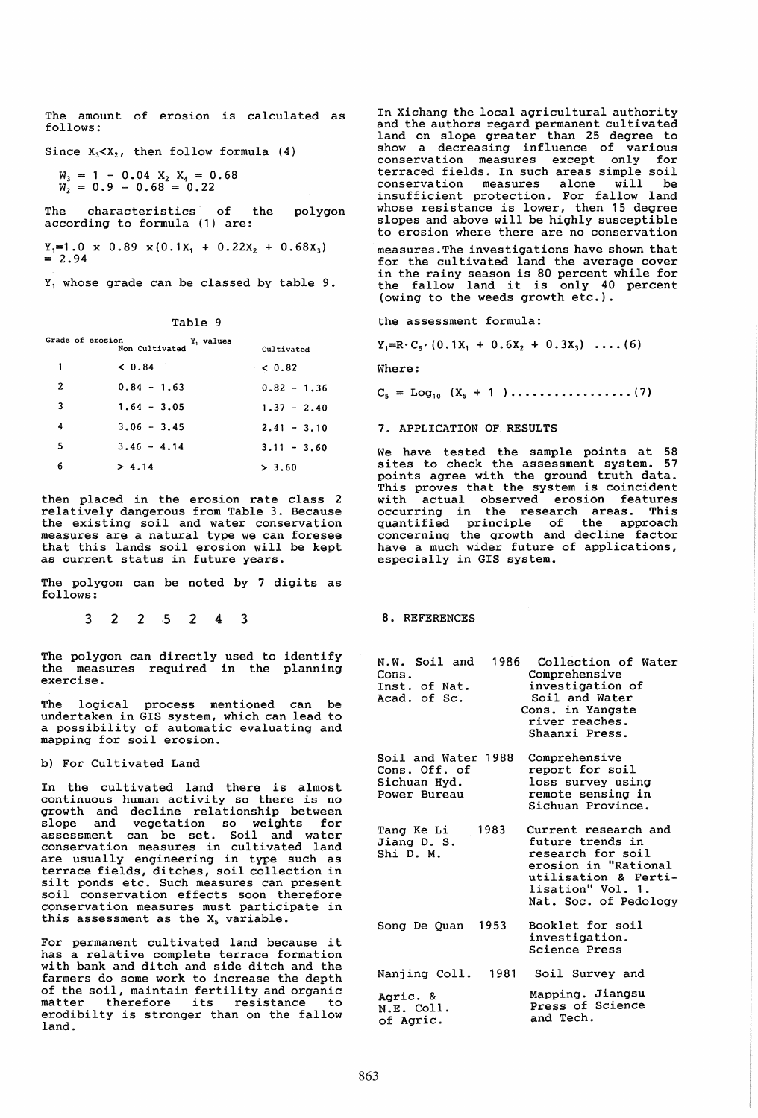The amount of erosion is calculated as follows:

Since  $X_3 < X_2$ , then follow formula (4)

 $W_3 = 1 - 0.04$   $X_2$   $X_4 = 0.68$  $W_2 = 0.9 - 0.68 = 0.22$ 

The characteristics of the polygon<br>according=to=formula=(1)=are:

 $Y_1=1.0 \times 0.89 \times (0.1X_1 + 0.22X_2 + 0.68X_3)$ <br>= 2.94

Y, whose grade can be classed by table 9.

Table 9

Cultivated

Grade of erosion Y<sub>1</sub> values<br>Non Cultivated

| $\overline{\mathbf{1}}$ | < 0.84        | < 0.82        |
|-------------------------|---------------|---------------|
| - 2                     | $0.84 - 1.63$ | $0.82 - 1.36$ |
| $\overline{\mathbf{3}}$ | $1.64 - 3.05$ | $1.37 - 2.40$ |
| 4                       | $3.06 - 3.45$ | $2.41 - 3.10$ |
| - 5                     | $3.46 - 4.14$ | $3.11 - 3.60$ |
| 6                       | > 4.14        | > 3.60        |

then placed in the erosion rate class 2 relatively dangerous from Table 3. Because the existing soil and water conservation measures are a natural type we can foresee that this lands soil erosion will be kept as current status in future years.

The polygon can be noted by 7 digits as follows:

<sup>3</sup>2 25 2 4 3

The polygon can directly used to identify the measures required in the planning exercise.

The logical process mentioned can be undertaken in GIS system, which can lead to a possibility of automatic evaluating and mapping for soil erosion.

b) For Cultivated Land

In the cultivated land there is almost continuous human activity so there is no growth and decline relationship between slope and vegetation so weights for assessment can be set. Soil and water<br>conservation measures in cultivated land are usually engineering in type such as terrace fields, ditches, soil collection in terrace fields, ditches, soil collection in<br>silt ponds etc. Such measures can present soil conservation effects soon therefore conservation measures must participate in this assessment as the  $X_5$  variable.

For permanent cultivated land because it has a relative complete terrace formation with bank and ditch and side ditch and the farmers do some work to increase the depth of the soil, maintain fertility and organic matter therefore its resistance to erodibilty is stronger than on the fallow land.

In Xichang the local agricultural authority and the authors regard permanent cultivated land on slope greater than 25 degree to show a decreasing influence of various conservation measures except only for terraced fields. In such areas simple soil conservation measures alone will be insufficient protection. For fallow land whose resistance is lower, then 15 degree slopes and above will be highly susceptible to erosion where there are no conservation measures. The investigations have shown that

for the cultivated land the average cover in the rainy season is 80 percent while for in the rainy season is 80 percent while for<br>the fallow land it is only 40 percent (owing to the weeds growth etc.).

the assessment formula:

 $Y_1=R \cdot C_5 \cdot (0.1X_1 + 0.6X_2 + 0.3X_3) \dots (6)$ 

Where:

 $C_5 = Log_{10} (X_5 + 1) \dots \dots \dots \dots \dots \dots (7)$ 

## 7. APPLICATION OF RESULTS

We have tested the sample points at 58 sites to check the assessment system. 57 points agree with the ground truth data. This proves that the system is coincident with actual observed erosion features occurring in the research areas. This quantified principle of the approach concerning the growth and decline factor have a much wider future of applications, especially in GIS system.

8. REFERENCES

| N.W. Soil and<br>Cons.<br>Inst. of Nat.<br>Acad. of Sc.              | 1986 Collection of Water<br>Comprehensive<br>investigation of<br>Soil and Water<br>Cons. in Yangste<br>river reaches.<br>Shaanxi Press.                     |
|----------------------------------------------------------------------|-------------------------------------------------------------------------------------------------------------------------------------------------------------|
| Soil and Water 1988<br>Cons. Off. of<br>Sichuan Hyd.<br>Power Bureau | Comprehensive<br>report for soil<br>loss survey using<br>remote sensing in<br>Sichuan Province.                                                             |
| 1983<br>Tang Ke Li<br>Jiang D. S.<br>Shi D. M.                       | Current research and<br>future trends in<br>research for soil<br>erosion in "Rational<br>utilisation & Ferti-<br>lisation" Vol. 1.<br>Nat. Soc. of Pedology |
| 1953<br>Song De Quan                                                 | Booklet for soil<br>investigation.<br>Science Press                                                                                                         |
| Nanjing Coll. 1981                                                   | Soil Survey and                                                                                                                                             |
| Agric. &<br>N.E. Coll.<br>of Agric.                                  | Mapping. Jiangsu<br>Press of Science<br>and Tech.                                                                                                           |